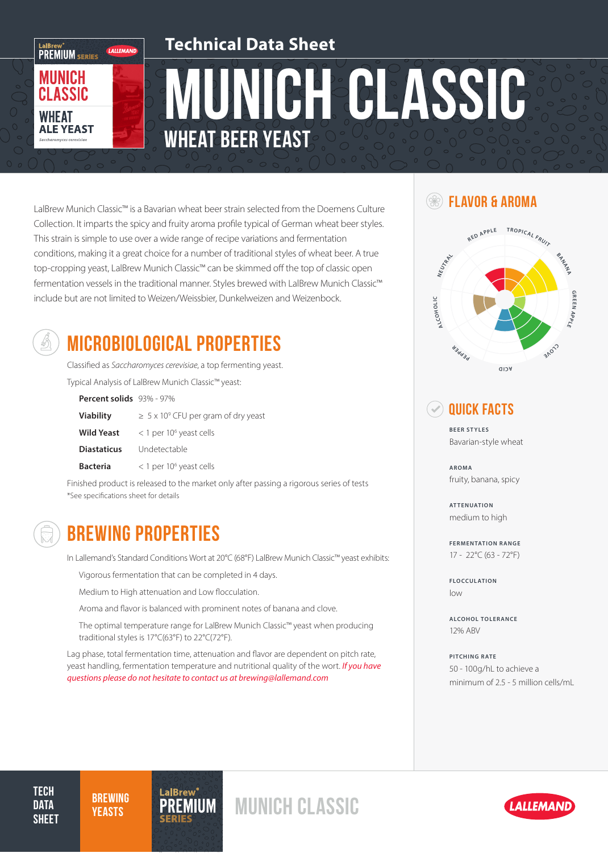

# MUNICH GLASSIC Wheat Beer Yeast **Technical Data Sheet**

**FLAVOR & AROMA** Collection. It imparts the spicy and fruity aroma profile typical of German wheat beer styles. This strain is simple to use over a wide range of recipe variations and fermentation conditions, making it a great choice for a number of traditional styles of wheat beer. A true top-cropping yeast, LalBrew Munich Classic™ can be skimmed off the top of classic open fermentation vessels in the traditional manner. Styles brewed with LalBrew Munich Classic™ include but are not limited to Weizen/Weissbier, Dunkelweizen and Weizenbock.



## MICROBIOLOGICAL PROPERTIES

Classified as *Saccharomyces cerevisiae*, a top fermenting yeast.

Typical Analysis of LalBrew Munich Classic™ yeast:

| Percent solids 93% - 97% |                                                      |
|--------------------------|------------------------------------------------------|
| <b>Viability</b>         | $\geq$ 5 x 10 <sup>9</sup> CFU per gram of dry yeast |
| Wild Yeast               | $<$ 1 per 10 <sup>6</sup> yeast cells                |
| <b>Diastaticus</b>       | Undetectable                                         |
| <b>Bacteria</b>          | $<$ 1 per 10 <sup>6</sup> yeast cells                |

Finished product is released to the market only after passing a rigorous series of tests \*See specifications sheet for details



### BREWING PROPERTIES

In Lallemand's Standard Conditions Wort at 20°C (68°F) LalBrew Munich Classic™ yeast exhibits:

Vigorous fermentation that can be completed in 4 days.

Medium to High attenuation and Low flocculation.

Aroma and flavor is balanced with prominent notes of banana and clove.

The optimal temperature range for LalBrew Munich Classic™ yeast when producing traditional styles is 17°C(63°F) to 22°C(72°F).

Lag phase, total fermentation time, attenuation and flavor are dependent on pitch rate, yeast handling, fermentation temperature and nutritional quality of the wort. *If you have questions please do not hesitate to contact us at brewing@lallemand.com*



#### Quick Facts

**BEER STYLES** Bavarian-style wheat

**AROMA** fruity, banana, spicy

**ATTENUATION** medium to high

**FERMENTATION RANGE** 17 - 22°C (63 - 72°F)

**FLOCCULATION** low

**ALCOHOL TOLERANCE** 12% ABV

**PITCHING RATE** 50 - 100g/hL to achieve a minimum of 2.5 - 5 million cells/mL

**TECH DATA SHEET** 

**BREWING** 



## BREWING PREMIUM MUNICH CLASSIC